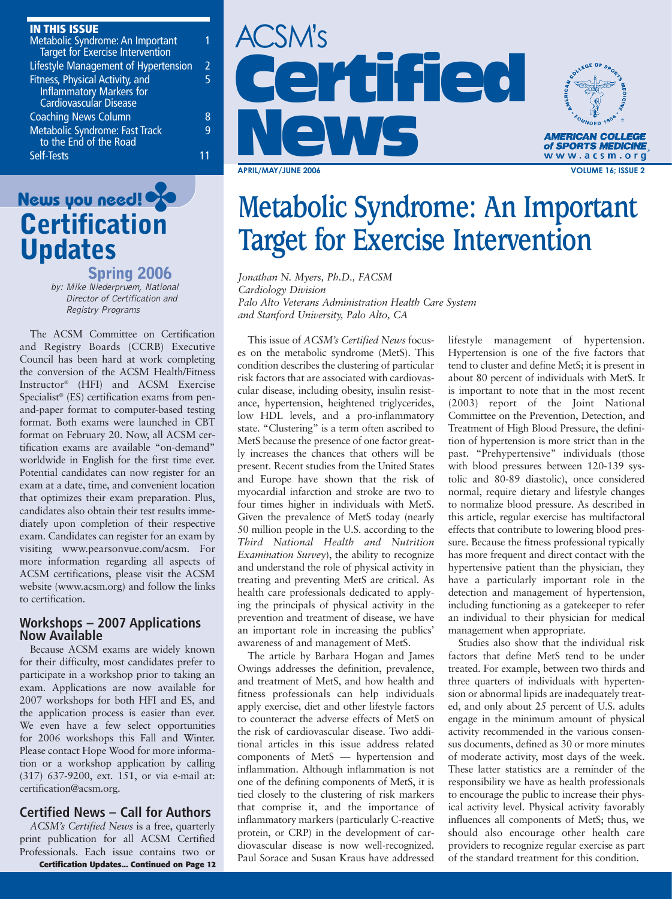### **IN THIS ISSUE**

| Metabolic Syndrome: An Important<br><b>Target for Exercise Intervention</b>           |   |
|---------------------------------------------------------------------------------------|---|
| Lifestyle Management of Hypertension                                                  | 2 |
| Fitness, Physical Activity, and<br>Inflammatory Markers for<br>Cardiovascular Disease | 5 |
| <b>Coaching News Column</b>                                                           | 8 |
| Metabolic Syndrome: Fast Track<br>to the End of the Road                              | q |
| Self-Tests                                                                            |   |



**Spring 2006** by: Mike Niederpruem, National Director of Certification and Registry Programs

The ACSM Committee on Certification and Registry Boards (CCRB) Executive Council has been hard at work completing the conversion of the ACSM Health/Fitness Instructor® (HFI) and ACSM Exercise Specialist® (ES) certification exams from penand-paper format to computer-based testing format. Both exams were launched in CBT format on February 20. Now, all ACSM certification exams are available "on-demand" worldwide in English for the first time ever. Potential candidates can now register for an exam at a date, time, and convenient location that optimizes their exam preparation. Plus, candidates also obtain their test results immediately upon completion of their respective exam. Candidates can register for an exam by visiting www.pearsonvue.com/acsm. For more information regarding all aspects of ACSM certifications, please visit the ACSM website (www.acsm.org) and follow the links to certification.

### **Workshops – 2007 Applications Now Available**

Because ACSM exams are widely known for their difficulty, most candidates prefer to participate in a workshop prior to taking an exam. Applications are now available for 2007 workshops for both HFI and ES, and the application process is easier than ever. We even have a few select opportunities for 2006 workshops this Fall and Winter. Please contact Hope Wood for more information or a workshop application by calling (317) 637-9200, ext. 151, or via e-mail at: certification@acsm.org.

### **Certified News – Call for Authors**

Essionals. Each issue contains two of Paul Sorace and Susan Kraus have addressed of the standard treatment for this condition. *ACSM's Certified News* is a free, quarterly print publication for all ACSM Certified Professionals. Each issue contains two or





### **News you need! Target for Exercise Intervention**

*Jonathan N. Myers, Ph.D., FACSM Cardiology Division Palo Alto Veterans Administration Health Care System and Stanford University, Palo Alto, CA*

This issue of *ACSM's Certified News* focuses on the metabolic syndrome (MetS). This condition describes the clustering of particular risk factors that are associated with cardiovascular disease, including obesity, insulin resistance, hypertension, heightened triglycerides, low HDL levels, and a pro-inflammatory state. "Clustering" is a term often ascribed to MetS because the presence of one factor greatly increases the chances that others will be present. Recent studies from the United States and Europe have shown that the risk of myocardial infarction and stroke are two to four times higher in individuals with MetS. Given the prevalence of MetS today (nearly 50 million people in the U.S. according to the *Third National Health and Nutrition Examination Survey*), the ability to recognize and understand the role of physical activity in treating and preventing MetS are critical. As health care professionals dedicated to applying the principals of physical activity in the prevention and treatment of disease, we have an important role in increasing the publics' awareness of and management of MetS.

The article by Barbara Hogan and James Owings addresses the definition, prevalence, and treatment of MetS, and how health and fitness professionals can help individuals apply exercise, diet and other lifestyle factors to counteract the adverse effects of MetS on the risk of cardiovascular disease. Two additional articles in this issue address related components of MetS — hypertension and inflammation. Although inflammation is not one of the defining components of MetS, it is tied closely to the clustering of risk markers that comprise it, and the importance of inflammatory markers (particularly C-reactive protein, or CRP) in the development of cardiovascular disease is now well-recognized. Paul Sorace and Susan Kraus have addressed

lifestyle management of hypertension. Hypertension is one of the five factors that tend to cluster and define MetS; it is present in about 80 percent of individuals with MetS. It is important to note that in the most recent (2003) report of the Joint National Committee on the Prevention, Detection, and Treatment of High Blood Pressure, the definition of hypertension is more strict than in the past. "Prehypertensive" individuals (those with blood pressures between 120-139 systolic and 80-89 diastolic), once considered normal, require dietary and lifestyle changes to normalize blood pressure. As described in this article, regular exercise has multifactoral effects that contribute to lowering blood pressure. Because the fitness professional typically has more frequent and direct contact with the hypertensive patient than the physician, they have a particularly important role in the detection and management of hypertension, including functioning as a gatekeeper to refer an individual to their physician for medical management when appropriate.

Studies also show that the individual risk factors that define MetS tend to be under treated. For example, between two thirds and three quarters of individuals with hypertension or abnormal lipids are inadequately treated, and only about 25 percent of U.S. adults engage in the minimum amount of physical activity recommended in the various consensus documents, defined as 30 or more minutes of moderate activity, most days of the week. These latter statistics are a reminder of the responsibility we have as health professionals to encourage the public to increase their physical activity level. Physical activity favorably influences all components of MetS; thus, we should also encourage other health care providers to recognize regular exercise as part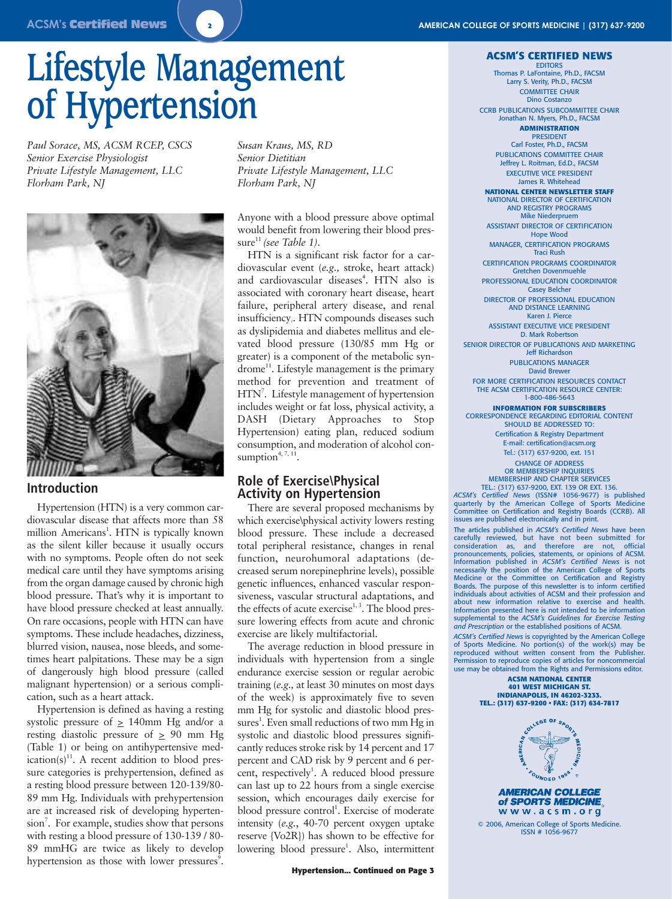# **Lifestyle Management of Hypertension**

*Paul Sorace, MS, ACSM RCEP, CSCS Senior Exercise Physiologist Private Lifestyle Management, LLC Florham Park, NJ*



### **Introduction**

Hypertension (HTN) is a very common cardiovascular disease that affects more than 58 million Americans<sup>1</sup>. HTN is typically known as the silent killer because it usually occurs with no symptoms. People often do not seek medical care until they have symptoms arising from the organ damage caused by chronic high blood pressure. That's why it is important to have blood pressure checked at least annually. On rare occasions, people with HTN can have symptoms. These include headaches, dizziness, blurred vision, nausea, nose bleeds, and sometimes heart palpitations. These may be a sign of dangerously high blood pressure (called malignant hypertension) or a serious complication, such as a heart attack.

Hypertension is defined as having a resting systolic pressure of  $\geq$  140mm Hg and/or a resting diastolic pressure of  $\geq$  90 mm Hg (Table 1) or being on antihypertensive medication(s) $^{11}$ . A recent addition to blood pressure categories is prehypertension, defined as a resting blood pressure between 120-139/80- 89 mm Hg. Individuals with prehypertension are at increased risk of developing hypertension<sup>7</sup>. For example, studies show that persons with resting a blood pressure of 130-139 / 80- 89 mmHG are twice as likely to develop hypertension as those with lower pressures<sup>9</sup>.

*Susan Kraus, MS, RD Senior Dietitian Private Lifestyle Management, LLC Florham Park, NJ*

Anyone with a blood pressure above optimal would benefit from lowering their blood pres $sure<sup>11</sup> (see Table 1).$ 

HTN is a significant risk factor for a cardiovascular event (*e.g.,* stroke, heart attack) and cardiovascular diseases<sup>4</sup>. HTN also is associated with coronary heart disease, heart failure, peripheral artery disease, and renal insufficiency*1*. HTN compounds diseases such as dyslipidemia and diabetes mellitus and elevated blood pressure (130/85 mm Hg or greater) is a component of the metabolic syndrome<sup>11</sup>. Lifestyle management is the primary method for prevention and treatment of HTN<sup>7</sup>. Lifestyle management of hypertension includes weight or fat loss, physical activity, a DASH (Dietary Approaches to Stop Hypertension) eating plan, reduced sodium consumption, and moderation of alcohol consumption<sup> $4, 7, 11$ </sup>.

### **Role of Exercise\Physical Activity on Hypertension**

There are several proposed mechanisms by which exercise\physical activity lowers resting blood pressure. These include a decreased total peripheral resistance, changes in renal function, neurohumoral adaptations (decreased serum norepinephrine levels), possible genetic influences, enhanced vascular responsiveness, vascular structural adaptations, and the effects of acute exercise<sup> $1,3$ </sup>. The blood pressure lowering effects from acute and chronic exercise are likely multifactorial.

The average reduction in blood pressure in individuals with hypertension from a single endurance exercise session or regular aerobic training (*e.g.,* at least 30 minutes on most days of the week) is approximately five to seven mm Hg for systolic and diastolic blood pressures<sup>1</sup>. Even small reductions of two mm Hg in systolic and diastolic blood pressures significantly reduces stroke risk by 14 percent and 17 percent and CAD risk by 9 percent and 6 percent, respectively<sup>1</sup>. A reduced blood pressure can last up to 22 hours from a single exercise session, which encourages daily exercise for blood pressure control<sup>1</sup>. Exercise of moderate intensity (*e.g.*, 40-70 percent oxygen uptake reserve {Vo2R}) has shown to be effective for lowering blood pressure<sup>1</sup>. Also, intermittent

#### **Hypertension... Continued on Page 3**

### **ACSM'S CERTIFIED NEWS**

EDITORS Thomas P. LaFontaine, Ph.D., FACSM Larry S. Verity, Ph.D., FACSM COMMITTEE CHAIR Dino Costanzo CCRB PUBLICATIONS SUBCOMMITTEE CHAIR Jonathan N. Myers, Ph.D., FACSM

#### **ADMINISTRATION** PRESIDENT

Carl Foster, Ph.D., FACSM PUBLICATIONS COMMITTEE CHAIR Jeffrey L. Roitman, Ed.D., FACSM EXECUTIVE VICE PRESIDENT James R. Whitehead

**NATIONAL CENTER NEWSLETTER STAFF**

NATIONAL DIRECTOR OF CERTIFICATION AND REGISTRY PROGRAMS Mike Niederpruem ASSISTANT DIRECTOR OF CERTIFICATION Hope Wood MANAGER, CERTIFICATION PROGRAMS Traci Rush CERTIFICATION PROGRAMS COORDINATOR Gretchen Dovenmuehle

PROFESSIONAL EDUCATION COORDINATOR Casey Belcher DIRECTOR OF PROFESSIONAL EDUCATION

AND DISTANCE LEARNING Karen J. Pierce ASSISTANT EXECUTIVE VICE PRESIDENT

D. Mark Robertson SENIOR DIRECTOR OF PUBLICATIONS AND MARKETING Jeff Richardson

> PUBLICATIONS MANAGER David Brewer

FOR MORE CERTIFICATION RESOURCES CONTACT THE ACSM CERTIFICATION RESOURCE CENTER: 1-800-486-5643

### **INFORMATION FOR SUBSCRIBERS**

CORRESPONDENCE REGARDING EDITORIAL CONTENT SHOULD BE ADDRESSED TO: Certification & Registry Department E-mail: certification@acsm.org Tel.: (317) 637-9200, ext. 151 CHANGE OF ADDRESS OR MEMBERSHIP INQUIRIES MEMBERSHIP AND CHAPTER SERVICES

TEL.: (317) 637-9200, EXT. 139 OR EXT. 136. *ACSM's Certified News* (ISSN# 1056-9677) is published quarterly by the American College of Sports Medicine Committee on Certification and Registry Boards (CCRB). All issues are published electronically and in print.

The articles published in *ACSM's Certified News* have been carefully reviewed, but have not been submitted for consideration as, and therefore are not, official pronouncements, policies, statements, or opinions of ACSM. Information published in *ACSM's Certified News* is not necessarily the position of the American College of Sports Medicine or the Committee on Certification and Registry Boards. The purpose of this newsletter is to inform certified individuals about activities of ACSM and their profession and about new information relative to exercise and health. Information presented here is not intended to be information supplemental to the *ACSM's Guidelines for Exercise Testing and Prescription* or the established positions of ACSM.

*ACSM's Certified News* is copyrighted by the American College of Sports Medicine. No portion(s) of the work(s) may be reproduced without written consent from the Permission to reproduce copies of articles for noncommercial use may be obtained from the Rights and Permissions editor.

**ACSM NATIONAL CENTER 401 WEST MICHIGAN ST. INDIANAPOLIS, IN 46202-3233. TEL.: (317) 637-9200 • FAX: (317) 634-7817**



of SPORTS MEDICINE www.acsm.org

© 2006, American College of Sports Medicine. ISSN # 1056-9677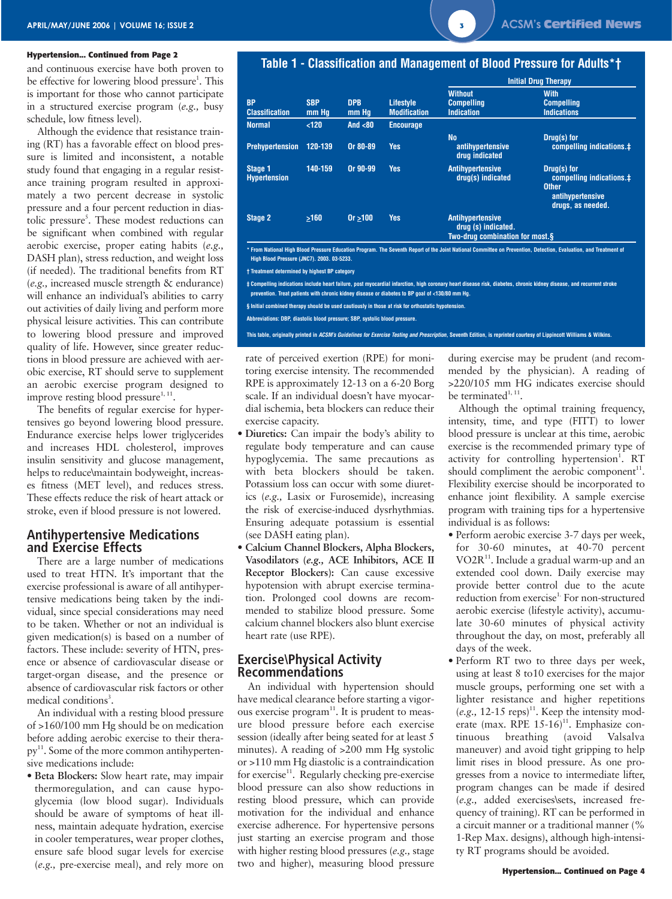

### **Hypertension... Continued from Page 2**

and continuous exercise have both proven to be effective for lowering blood pressure<sup>1</sup>. This is important for those who cannot participate in a structured exercise program (*e.g.,* busy schedule, low fitness level).

Although the evidence that resistance training (RT) has a favorable effect on blood pressure is limited and inconsistent, a notable study found that engaging in a regular resistance training program resulted in approximately a two percent decrease in systolic pressure and a four percent reduction in diastolic pressure<sup>5</sup>. These modest reductions can be significant when combined with regular aerobic exercise, proper eating habits (*e.g.,* DASH plan), stress reduction, and weight loss (if needed). The traditional benefits from RT (*e.g.,* increased muscle strength & endurance) will enhance an individual's abilities to carry out activities of daily living and perform more physical leisure activities. This can contribute to lowering blood pressure and improved quality of life. However, since greater reductions in blood pressure are achieved with aerobic exercise, RT should serve to supplement an aerobic exercise program designed to improve resting blood pressure $1, 11$ .

The benefits of regular exercise for hypertensives go beyond lowering blood pressure. Endurance exercise helps lower triglycerides and increases HDL cholesterol, improves insulin sensitivity and glucose management, helps to reduce\maintain bodyweight, increases fitness (MET level), and reduces stress. These effects reduce the risk of heart attack or stroke, even if blood pressure is not lowered.

### **Antihypertensive Medications and Exercise Effects**

There are a large number of medications used to treat HTN. It's important that the exercise professional is aware of all antihypertensive medications being taken by the individual, since special considerations may need to be taken. Whether or not an individual is given medication(s) is based on a number of factors. These include: severity of HTN, presence or absence of cardiovascular disease or target-organ disease, and the presence or absence of cardiovascular risk factors or other medical conditions<sup>3</sup>.

An individual with a resting blood pressure of >160/100 mm Hg should be on medication before adding aerobic exercise to their therapy<sup>11</sup>. Some of the more common antihypertensive medications include:

• **Beta Blockers:** Slow heart rate, may impair thermoregulation, and can cause hypoglycemia (low blood sugar). Individuals should be aware of symptoms of heat illness, maintain adequate hydration, exercise in cooler temperatures, wear proper clothes, ensure safe blood sugar levels for exercise (*e.g.,* pre-exercise meal), and rely more on

### **Table 1 - Classification and Management of Blood Pressure for Adults\*†**

|                                       | <b>SBP</b><br>mm Hq | <b>DPB</b><br>mm Hq | <b>Lifestyle</b><br><b>Modification</b> | <b>Initial Drug Therapy</b>                                                       |                                                                                                  |  |
|---------------------------------------|---------------------|---------------------|-----------------------------------------|-----------------------------------------------------------------------------------|--------------------------------------------------------------------------------------------------|--|
| <b>BP</b><br><b>Classification</b>    |                     |                     |                                         | <b>Without</b><br><b>Compelling</b><br><b>Indication</b>                          | <b>With</b><br><b>Compelling</b><br><b>Indications</b>                                           |  |
| <b>Normal</b>                         | < 120               | And $80$            | <b>Encourage</b>                        |                                                                                   |                                                                                                  |  |
| <b>Prehypertension</b>                | 120-139             | Or 80-89            | Yes                                     | <b>No</b><br>antihypertensive<br>drug indicated                                   | Drug(s) for<br>compelling indications.‡                                                          |  |
| <b>Stage 1</b><br><b>Hypertension</b> | 140-159             | Or 90-99            | <b>Yes</b>                              | <b>Antihypertensive</b><br>drug(s) indicated                                      | Drug(s) for<br>compelling indications.#<br><b>Other</b><br>antihypertensive<br>drugs, as needed. |  |
| <b>Stage 2</b>                        | >160                | 0r > 100            | Yes                                     | <b>Antihypertensive</b><br>drug (s) indicated.<br>Two-drug combination for most.§ |                                                                                                  |  |

**\* From National High Blood Pressure Education Program. The Seventh Report of the Joint National Committee on Prevention, Detection, Evaluation, and Treatment of High Blood Pressure (JNC7). 2003. 03-5233.**

**† Treatment determined by highest BP category**

**‡ Compelling indications include heart failure, post myocardial infarction, high coronary heart disease risk, diabetes, chronic kidney disease, and recurrent stroke prevention. Treat patients with chronic kidney disease or diabetes to BP goal of <130/80 mm Hg.**

**§ Initial combined therapy should be used cautiously in those at risk for orthostatic hypotension.**

**Abbreviations: DBP, diastolic blood pressure; SBP, systolic blood pressure.**

**This table, originally printed in ACSM's Guidelines for Exercise Testing and Prescription, Seventh Edition, is reprinted courtesy of Lippincott Williams & Wilkins.**

rate of perceived exertion (RPE) for monitoring exercise intensity. The recommended RPE is approximately 12-13 on a 6-20 Borg scale. If an individual doesn't have myocardial ischemia, beta blockers can reduce their exercise capacity.

- **Diuretics:** Can impair the body's ability to regulate body temperature and can cause hypoglycemia. The same precautions as with beta blockers should be taken. Potassium loss can occur with some diuretics (*e.g.,* Lasix or Furosemide), increasing the risk of exercise-induced dysrhythmias. Ensuring adequate potassium is essential (see DASH eating plan).
- **Calcium Channel Blockers, Alpha Blockers, Vasodilators (***e.g.,* **ACE Inhibitors, ACE II Receptor Blockers):** Can cause excessive hypotension with abrupt exercise termination. Prolonged cool downs are recommended to stabilize blood pressure. Some calcium channel blockers also blunt exercise heart rate (use RPE).

### **Exercise\Physical Activity Recommendations**

An individual with hypertension should have medical clearance before starting a vigorous exercise  $program<sup>11</sup>$ . It is prudent to measure blood pressure before each exercise session (ideally after being seated for at least 5 minutes). A reading of >200 mm Hg systolic or >110 mm Hg diastolic is a contraindication for exercise<sup>11</sup>. Regularly checking pre-exercise blood pressure can also show reductions in resting blood pressure, which can provide motivation for the individual and enhance exercise adherence. For hypertensive persons just starting an exercise program and those with higher resting blood pressures (*e.g.,* stage two and higher), measuring blood pressure

during exercise may be prudent (and recommended by the physician). A reading of >220/105 mm HG indicates exercise should be terminated $1, 11$ .

Although the optimal training frequency, intensity, time, and type (FITT) to lower blood pressure is unclear at this time, aerobic exercise is the recommended primary type of activity for controlling hypertension<sup>1</sup>. RT should compliment the aerobic component $11$ . Flexibility exercise should be incorporated to enhance joint flexibility. A sample exercise program with training tips for a hypertensive individual is as follows:

- Perform aerobic exercise 3-7 days per week, for 30-60 minutes, at 40-70 percent  $VO2R<sup>11</sup>$ . Include a gradual warm-up and an extended cool down. Daily exercise may provide better control due to the acute reduction from exercise<sup>1.</sup> For non-structured aerobic exercise (lifestyle activity), accumulate 30-60 minutes of physical activity throughout the day, on most, preferably all days of the week.
- Perform RT two to three days per week, using at least 8 to10 exercises for the major muscle groups, performing one set with a lighter resistance and higher repetitions  $(e.g., 12-15$  reps)<sup>11</sup>. Keep the intensity moderate (max. RPE  $15{\text -}16$ )<sup>11</sup>. Emphasize continuous breathing (avoid Valsalva maneuver) and avoid tight gripping to help limit rises in blood pressure. As one progresses from a novice to intermediate lifter, program changes can be made if desired (*e.g.,* added exercises\sets, increased frequency of training). RT can be performed in a circuit manner or a traditional manner (% 1-Rep Max. designs), although high-intensity RT programs should be avoided.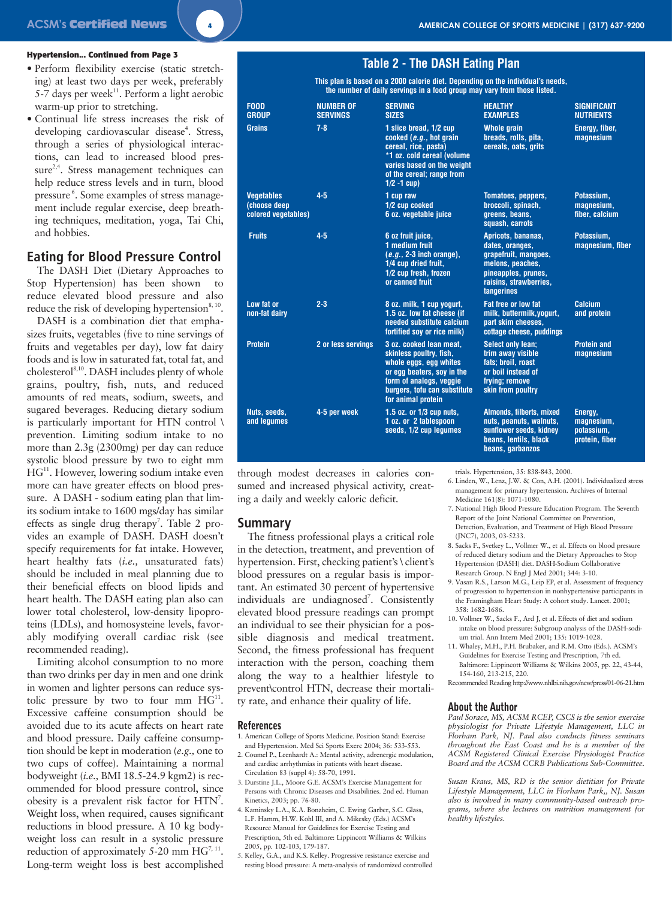### **Hypertension... Continued from Page 3**

- Perform flexibility exercise (static stretching) at least two days per week, preferably 5-7 days per week $^{11}$ . Perform a light aerobic warm-up prior to stretching.
- Continual life stress increases the risk of developing cardiovascular disease<sup>4</sup>. Stress, through a series of physiological interactions, can lead to increased blood pres $sure<sup>2,4</sup>$ . Stress management techniques can help reduce stress levels and in turn, blood pressure<sup>6</sup>. Some examples of stress management include regular exercise, deep breathing techniques, meditation, yoga, Tai Chi, and hobbies.

### **Eating for Blood Pressure Control**

The DASH Diet (Dietary Approaches to Stop Hypertension) has been shown to reduce elevated blood pressure and also reduce the risk of developing hypertension $8,10$ .

DASH is a combination diet that emphasizes fruits, vegetables (five to nine servings of fruits and vegetables per day), low fat dairy foods and is low in saturated fat, total fat, and cholesterol<sup>8,10</sup>. DASH includes plenty of whole grains, poultry, fish, nuts, and reduced amounts of red meats, sodium, sweets, and sugared beverages. Reducing dietary sodium is particularly important for HTN control \ prevention. Limiting sodium intake to no more than 2.3g (2300mg) per day can reduce systolic blood pressure by two to eight mm HG<sup>11</sup>. However, lowering sodium intake even more can have greater effects on blood pressure. A DASH - sodium eating plan that limits sodium intake to 1600 mgs/day has similar effects as single drug therapy<sup>7</sup>. Table 2 provides an example of DASH. DASH doesn't specify requirements for fat intake. However, heart healthy fats (*i.e.,* unsaturated fats) should be included in meal planning due to their beneficial effects on blood lipids and heart health. The DASH eating plan also can lower total cholesterol, low-density lipoproteins (LDLs), and homosysteine levels, favorably modifying overall cardiac risk (see recommended reading).

Limiting alcohol consumption to no more than two drinks per day in men and one drink in women and lighter persons can reduce systolic pressure by two to four mm  $HG^{11}$ . Excessive caffeine consumption should be avoided due to its acute affects on heart rate and blood pressure. Daily caffeine consumption should be kept in moderation (*e.g.,* one to two cups of coffee). Maintaining a normal bodyweight (*i.e.,* BMI 18.5-24.9 kgm2) is recommended for blood pressure control, since obesity is a prevalent risk factor for HTN<sup>7</sup>. Weight loss, when required, causes significant reductions in blood pressure. A 10 kg bodyweight loss can result in a systolic pressure reduction of approximately 5-20 mm  $HG^{7, 11}$ . Long-term weight loss is best accomplished

### **Table 2 - The DASH Eating Plan**

**This plan is based on a 2000 calorie diet. Depending on the individual's needs, the number of daily servings in a food group may vary from those listed.**

| <b>FOOD</b><br><b>GROUP</b>                               | <b>NUMBER OF</b><br><b>SERVINGS</b> | <b>SERVING</b><br><b>SIZES</b>                                                                                                                                                              | <b>HEALTHY</b><br><b>EXAMPLES</b>                                                                                                                | <b>SIGNIFICANT</b><br><b>NUTRIENTS</b>                |
|-----------------------------------------------------------|-------------------------------------|---------------------------------------------------------------------------------------------------------------------------------------------------------------------------------------------|--------------------------------------------------------------------------------------------------------------------------------------------------|-------------------------------------------------------|
| <b>Grains</b>                                             | $7 - 8$                             | 1 slice bread, 1/2 cup<br>cooked $(e.g.,$ hot grain<br>cereal, rice, pasta)<br>*1 oz. cold cereal (volume<br>varies based on the weight<br>of the cereal; range from<br>$1/2 - 1$ cup)      | <b>Whole grain</b><br>breads, rolls, pita,<br>cereals, oats, grits                                                                               | Energy, fiber,<br>magnesium                           |
| <b>Vegetables</b><br>(choose deep)<br>colored vegetables) | $4 - 5$                             | 1 cup raw<br>1/2 cup cooked<br>6 oz. vegetable juice                                                                                                                                        | <b>Tomatoes, peppers,</b><br>broccoli, spinach,<br>greens, beans,<br>squash, carrots                                                             | Potassium.<br>magnesium,<br>fiber, calcium            |
| <b>Fruits</b>                                             | $4 - 5$                             | 6 oz fruit juice,<br>1 medium fruit<br>$(e.g., 2-3$ inch orange),<br>1/4 cup dried fruit,<br>1/2 cup fresh, frozen<br>or canned fruit                                                       | Apricots, bananas,<br>dates, oranges,<br>grapefruit, mangoes,<br>melons, peaches,<br>pineapples, prunes,<br>raisins, strawberries,<br>tangerines | Potassium.<br>magnesium, fiber                        |
| Low fat or<br>non-fat dairy                               | $2 - 3$                             | 8 oz. milk, 1 cup yogurt,<br>1.5 oz. low fat cheese (if<br>needed substitute calcium<br>fortified soy or rice milk)                                                                         | Fat free or low fat<br>milk, buttermilk, yogurt,<br>part skim cheeses.<br>cottage cheese, puddings                                               | <b>Calcium</b><br>and protein                         |
| <b>Protein</b>                                            | 2 or less servings                  | 3 oz. cooked lean meat,<br>skinless poultry, fish,<br>whole eggs, egg whites<br>or egg beaters, soy in the<br>form of analogs, veggie<br>burgers, tofu can substitute<br>for animal protein | <b>Select only lean:</b><br>trim away visible<br>fats: broil. roast<br>or boil instead of<br>frying; remove<br>skin from poultry                 | <b>Protein and</b><br>magnesium                       |
| Nuts, seeds,<br>and lequmes                               | 4-5 per week                        | 1.5 oz. or 1/3 cup nuts,<br>1 oz. or 2 tablespoon<br>seeds, 1/2 cup lequmes                                                                                                                 | Almonds, filberts, mixed<br>nuts, peanuts, walnuts,<br>sunflower seeds, kidney<br>beans, lentils, black<br>beans, garbanzos                      | Energy,<br>magnesium,<br>potassium,<br>protein, fiber |

through modest decreases in calories consumed and increased physical activity, creating a daily and weekly caloric deficit.

### **Summary**

The fitness professional plays a critical role in the detection, treatment, and prevention of hypertension. First, checking patient's \ client's blood pressures on a regular basis is important. An estimated 30 percent of hypertensive individuals are undiagnosed<sup>7</sup>. Consistently elevated blood pressure readings can prompt an individual to see their physician for a possible diagnosis and medical treatment. Second, the fitness professional has frequent interaction with the person, coaching them along the way to a healthier lifestyle to prevent\control HTN, decrease their mortality rate, and enhance their quality of life.

### **References**

- 1. American College of Sports Medicine. Position Stand: Exercise and Hypertension. Med Sci Sports Exerc 2004; 36: 533-553.
- 2. Coumel P., Leenhardt A.: Mental activity, adrenergic modulation, and cardiac arrhythmias in patients with heart disease. Circulation 83 (suppl 4): 58-70, 1991.
- 3. Durstine J.L., Moore G.E. ACSM's Exercise Management for Persons with Chronic Diseases and Disabilities. 2nd ed. Human Kinetics, 2003; pp. 76-80.
- 4. Kaminsky L.A., K.A. Bonzheim, C. Ewing Garber, S.C. Glass, L.F. Hamm, H.W. Kohl III, and A. Mikesky (Eds.) ACSM's Resource Manual for Guidelines for Exercise Testing and Prescription, 5th ed. Baltimore: Lippincott Williams & Wilkins 2005, pp. 102-103, 179-187.
- 5. Kelley, G.A., and K.S. Kelley. Progressive resistance exercise and resting blood pressure: A meta-analysis of randomized controlled

trials. Hypertension, 35: 838-843, 2000.

- 6. Linden, W., Lenz, J.W. & Con, A.H. (2001). Individualized stress management for primary hypertension. Archives of Internal Medicine 161(8): 1071-1080.
- 7. National High Blood Pressure Education Program. The Seventh Report of the Joint National Committee on Prevention, Detection, Evaluation, and Treatment of High Blood Pressure (JNC7), 2003, 03-5233.
- 8. Sacks F., Svetkey L., Vollmer W., et al. Effects on blood pressure of reduced dietary sodium and the Dietary Approaches to Stop Hypertension (DASH) diet. DASH-Sodium Collaborative Research Group. N Engl J Med 2001; 344: 3-10.
- 9. Vasan R.S., Larson M.G., Leip EP, et al. Assessment of frequency of progression to hypertension in nonhypertensive participants in the Framingham Heart Study: A cohort study. Lancet. 2001; 358: 1682-1686.
- 10. Vollmer W., Sacks F., Ard J, et al. Effects of diet and sodium intake on blood pressure: Subgroup analysis of the DASH-sodium trial. Ann Intern Med 2001; 135: 1019-1028.
- 11. Whaley, M.H., P.H. Brubaker, and R.M. Otto (Eds.). ACSM's Guidelines for Exercise Testing and Prescription, 7th ed. Baltimore: Lippincott Williams & Wilkins 2005, pp. 22, 43-44, 154-160, 213-215, 220.
- Recommended Reading http://www.nhlbi.nih.gov/new/press/01-06-21.htm

### **About the Author**

*Paul Sorace, MS, ACSM RCEP, CSCS is the senior exercise physiologist for Private Lifestyle Management, LLC in Florham Park, NJ. Paul also conducts fitness seminars throughout the East Coast and he is a member of the ACSM Registered Clinical Exercise Physiologist Practice Board and the ACSM CCRB Publications Sub-Committee.* 

*Susan Kraus, MS, RD is the senior dietitian for Private Lifestyle Management, LLC in Florham Park,, NJ. Susan also is involved in many community-based outreach programs, where she lectures on nutrition management for healthy lifestyles.*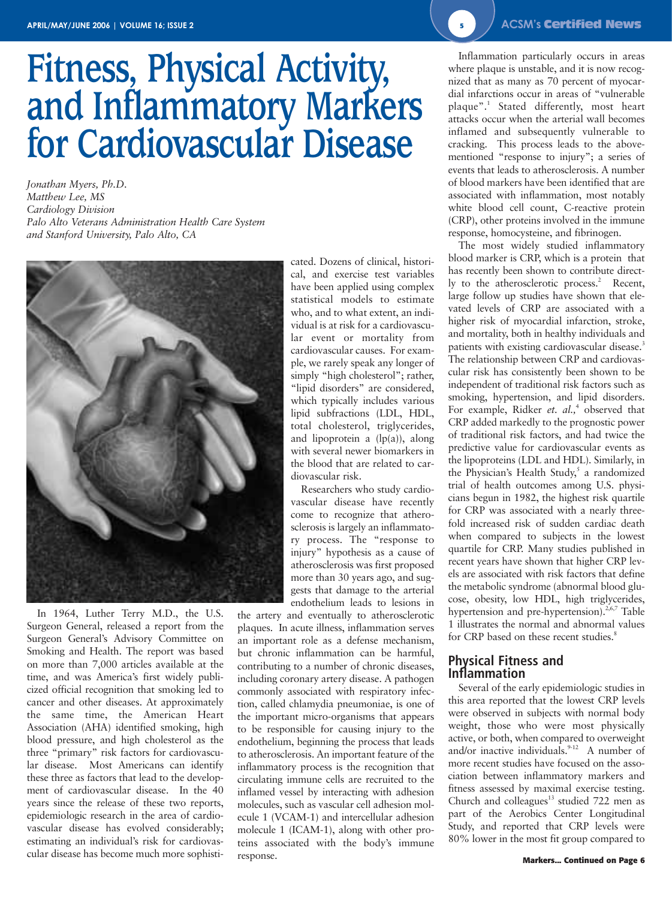# **Fitness, Physical Activity, and Inflammatory Markers for Cardiovascular Disease**

*Jonathan Myers, Ph.D. Matthew Lee, MS Cardiology Division Palo Alto Veterans Administration Health Care System and Stanford University, Palo Alto, CA*



In 1964, Luther Terry M.D., the U.S. Surgeon General, released a report from the Surgeon General's Advisory Committee on Smoking and Health. The report was based on more than 7,000 articles available at the time, and was America's first widely publicized official recognition that smoking led to cancer and other diseases. At approximately the same time, the American Heart Association (AHA) identified smoking, high blood pressure, and high cholesterol as the three "primary" risk factors for cardiovascular disease. Most Americans can identify these three as factors that lead to the development of cardiovascular disease. In the 40 years since the release of these two reports, epidemiologic research in the area of cardiovascular disease has evolved considerably; estimating an individual's risk for cardiovascular disease has become much more sophisticated. Dozens of clinical, historical, and exercise test variables have been applied using complex statistical models to estimate who, and to what extent, an individual is at risk for a cardiovascular event or mortality from cardiovascular causes. For example, we rarely speak any longer of simply "high cholesterol"; rather, "lipid disorders" are considered, which typically includes various lipid subfractions (LDL, HDL, total cholesterol, triglycerides, and lipoprotein a  $(lp(a))$ , along with several newer biomarkers in the blood that are related to cardiovascular risk.

Researchers who study cardiovascular disease have recently come to recognize that atherosclerosis is largely an inflammatory process. The "response to injury" hypothesis as a cause of atherosclerosis was first proposed more than 30 years ago, and suggests that damage to the arterial endothelium leads to lesions in

the artery and eventually to atherosclerotic plaques. In acute illness, inflammation serves an important role as a defense mechanism, but chronic inflammation can be harmful, contributing to a number of chronic diseases, including coronary artery disease. A pathogen commonly associated with respiratory infection, called chlamydia pneumoniae, is one of the important micro-organisms that appears to be responsible for causing injury to the endothelium, beginning the process that leads to atherosclerosis. An important feature of the inflammatory process is the recognition that circulating immune cells are recruited to the inflamed vessel by interacting with adhesion molecules, such as vascular cell adhesion molecule 1 (VCAM-1) and intercellular adhesion molecule 1 (ICAM-1), along with other proteins associated with the body's immune response.

Inflammation particularly occurs in areas where plaque is unstable, and it is now recognized that as many as 70 percent of myocardial infarctions occur in areas of "vulnerable plaque".<sup>1</sup> Stated differently, most heart attacks occur when the arterial wall becomes inflamed and subsequently vulnerable to cracking. This process leads to the abovementioned "response to injury"; a series of events that leads to atherosclerosis. A number of blood markers have been identified that are associated with inflammation, most notably white blood cell count, C-reactive protein (CRP), other proteins involved in the immune response, homocysteine, and fibrinogen.

The most widely studied inflammatory blood marker is CRP, which is a protein that has recently been shown to contribute directly to the atherosclerotic process.<sup>2</sup> Recent, large follow up studies have shown that elevated levels of CRP are associated with a higher risk of myocardial infarction, stroke, and mortality, both in healthy individuals and patients with existing cardiovascular disease.<sup>3</sup> The relationship between CRP and cardiovascular risk has consistently been shown to be independent of traditional risk factors such as smoking, hypertension, and lipid disorders. For example, Ridker *et. al.*,<sup>4</sup> observed that CRP added markedly to the prognostic power of traditional risk factors, and had twice the predictive value for cardiovascular events as the lipoproteins (LDL and HDL). Similarly, in the Physician's Health Study,<sup>5</sup> a randomized trial of health outcomes among U.S. physicians begun in 1982, the highest risk quartile for CRP was associated with a nearly threefold increased risk of sudden cardiac death when compared to subjects in the lowest quartile for CRP. Many studies published in recent years have shown that higher CRP levels are associated with risk factors that define the metabolic syndrome (abnormal blood glucose, obesity, low HDL, high triglycerides, hypertension and pre-hypertension).<sup>2,6,7</sup> Table 1 illustrates the normal and abnormal values for CRP based on these recent studies.<sup>8</sup>

### **Physical Fitness and Inflammation**

Several of the early epidemiologic studies in this area reported that the lowest CRP levels were observed in subjects with normal body weight, those who were most physically active, or both, when compared to overweight and/or inactive individuals. $9-12$  A number of more recent studies have focused on the association between inflammatory markers and fitness assessed by maximal exercise testing. Church and colleagues $^{13}$  studied 722 men as part of the Aerobics Center Longitudinal Study, and reported that CRP levels were 80% lower in the most fit group compared to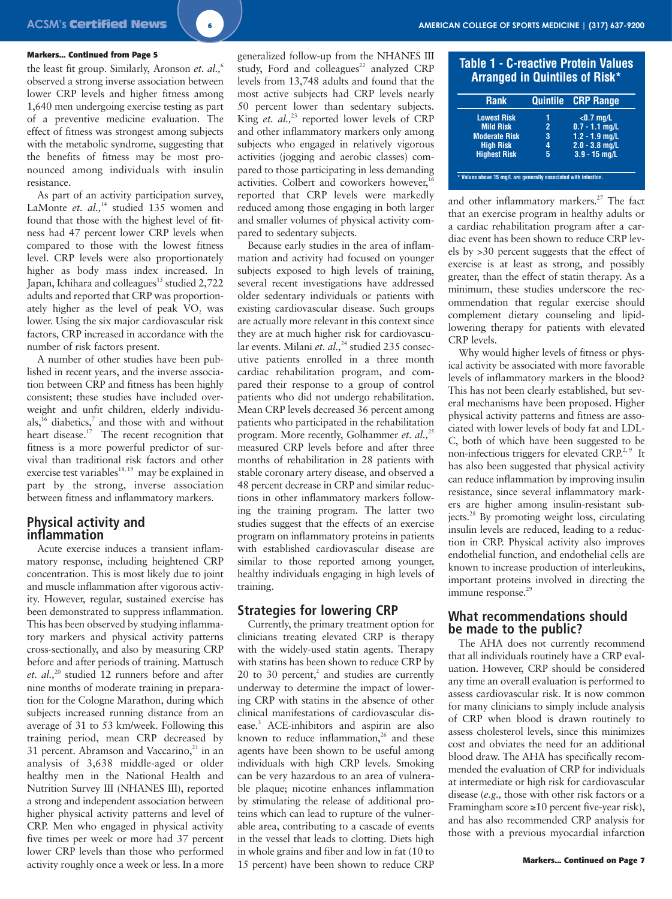### **Markers... Continued from Page 5**

the least fit group. Similarly, Aronson *et. al.,*<sup>6</sup> observed a strong inverse association between lower CRP levels and higher fitness among 1,640 men undergoing exercise testing as part of a preventive medicine evaluation. The effect of fitness was strongest among subjects with the metabolic syndrome, suggesting that the benefits of fitness may be most pronounced among individuals with insulin resistance.

As part of an activity participation survey, LaMonte et. al.,<sup>14</sup> studied 135 women and found that those with the highest level of fitness had 47 percent lower CRP levels when compared to those with the lowest fitness level. CRP levels were also proportionately higher as body mass index increased. In Japan, Ichihara and colleagues<sup>15</sup> studied 2,722 adults and reported that CRP was proportionately higher as the level of peak VO<sub>2</sub> was lower. Using the six major cardiovascular risk factors, CRP increased in accordance with the number of risk factors present.

A number of other studies have been published in recent years, and the inverse association between CRP and fitness has been highly consistent; these studies have included overweight and unfit children, elderly individuals, $^{16}$  diabetics, $^7$  and those with and without heart disease. $17$  The recent recognition that fitness is a more powerful predictor of survival than traditional risk factors and other exercise test variables<sup>18, 19</sup> may be explained in part by the strong, inverse association between fitness and inflammatory markers.

### **Physical activity and inflammation**

Acute exercise induces a transient inflammatory response, including heightened CRP concentration. This is most likely due to joint and muscle inflammation after vigorous activity. However, regular, sustained exercise has been demonstrated to suppress inflammation. This has been observed by studying inflammatory markers and physical activity patterns cross-sectionally, and also by measuring CRP before and after periods of training. Mattusch et. al.,<sup>20</sup> studied 12 runners before and after nine months of moderate training in preparation for the Cologne Marathon, during which subjects increased running distance from an average of 31 to 53 km/week. Following this training period, mean CRP decreased by 31 percent. Abramson and Vaccarino, $21$  in an analysis of 3,638 middle-aged or older healthy men in the National Health and Nutrition Survey III (NHANES III), reported a strong and independent association between higher physical activity patterns and level of CRP. Men who engaged in physical activity five times per week or more had 37 percent lower CRP levels than those who performed activity roughly once a week or less. In a more 50 percent lower than sedentary subjects. King *et. al.*,<sup>23</sup> reported lower levels of CRP and other inflammatory markers only among subjects who engaged in relatively vigorous activities (jogging and aerobic classes) compared to those participating in less demanding activities. Colbert and coworkers however,<sup>1</sup> reported that CRP levels were markedly reduced among those engaging in both larger and smaller volumes of physical activity com-

Because early studies in the area of inflammation and activity had focused on younger subjects exposed to high levels of training, several recent investigations have addressed older sedentary individuals or patients with existing cardiovascular disease. Such groups are actually more relevant in this context since they are at much higher risk for cardiovascular events. Milani et. al.,<sup>24</sup> studied 235 consecutive patients enrolled in a three month cardiac rehabilitation program, and compared their response to a group of control patients who did not undergo rehabilitation. Mean CRP levels decreased 36 percent among patients who participated in the rehabilitation program. More recently, Golhammer *et. al.,*<sup>25</sup> measured CRP levels before and after three months of rehabilitation in 28 patients with stable coronary artery disease, and observed a 48 percent decrease in CRP and similar reductions in other inflammatory markers following the training program. The latter two studies suggest that the effects of an exercise program on inflammatory proteins in patients with established cardiovascular disease are similar to those reported among younger, healthy individuals engaging in high levels of

pared to sedentary subjects.

training.

**Strategies for lowering CRP**

Currently, the primary treatment option for clinicians treating elevated CRP is therapy with the widely-used statin agents. Therapy with statins has been shown to reduce CRP by 20 to 30 percent, $^{2}$  and studies are currently underway to determine the impact of lowering CRP with statins in the absence of other clinical manifestations of cardiovascular disease.3 ACE-inhibitors and aspirin are also known to reduce inflammation, $26$  and these agents have been shown to be useful among individuals with high CRP levels. Smoking can be very hazardous to an area of vulnerable plaque; nicotine enhances inflammation by stimulating the release of additional proteins which can lead to rupture of the vulnerable area, contributing to a cascade of events in the vessel that leads to clotting. Diets high in whole grains and fiber and low in fat (10 to 15 percent) have been shown to reduce CRP

| <b>Rank</b>          |   | Quintile CRP Range |
|----------------------|---|--------------------|
| <b>Lowest Risk</b>   |   | $<$ 0.7 mg/L       |
| <b>Mild Risk</b>     | 2 | $0.7 - 1.1$ mg/L   |
| <b>Moderate Risk</b> | 3 | $1.2 - 1.9$ mg/L   |
| <b>High Risk</b>     | 4 | $2.0 - 3.8$ mg/L   |
| <b>Highest Risk</b>  | 5 | $3.9 - 15$ mg/L    |

and other inflammatory markers.<sup>27</sup> The fact that an exercise program in healthy adults or a cardiac rehabilitation program after a cardiac event has been shown to reduce CRP levels by >30 percent suggests that the effect of exercise is at least as strong, and possibly greater, than the effect of statin therapy. As a minimum, these studies underscore the recommendation that regular exercise should complement dietary counseling and lipidlowering therapy for patients with elevated CRP levels.

Why would higher levels of fitness or physical activity be associated with more favorable levels of inflammatory markers in the blood? This has not been clearly established, but several mechanisms have been proposed. Higher physical activity patterns and fitness are associated with lower levels of body fat and LDL-C, both of which have been suggested to be non-infectious triggers for elevated CRP.<sup>2, 9</sup> It has also been suggested that physical activity can reduce inflammation by improving insulin resistance, since several inflammatory markers are higher among insulin-resistant subjects.28 By promoting weight loss, circulating insulin levels are reduced, leading to a reduction in CRP. Physical activity also improves endothelial function, and endothelial cells are known to increase production of interleukins, important proteins involved in directing the immune response.<sup>29</sup>

### **What recommendations should be made to the public?**

The AHA does not currently recommend that all individuals routinely have a CRP evaluation. However, CRP should be considered any time an overall evaluation is performed to assess cardiovascular risk. It is now common for many clinicians to simply include analysis of CRP when blood is drawn routinely to assess cholesterol levels, since this minimizes cost and obviates the need for an additional blood draw. The AHA has specifically recommended the evaluation of CRP for individuals at intermediate or high risk for cardiovascular disease (*e.g.,* those with other risk factors or a Framingham score ≥10 percent five-year risk), and has also recommended CRP analysis for those with a previous myocardial infarction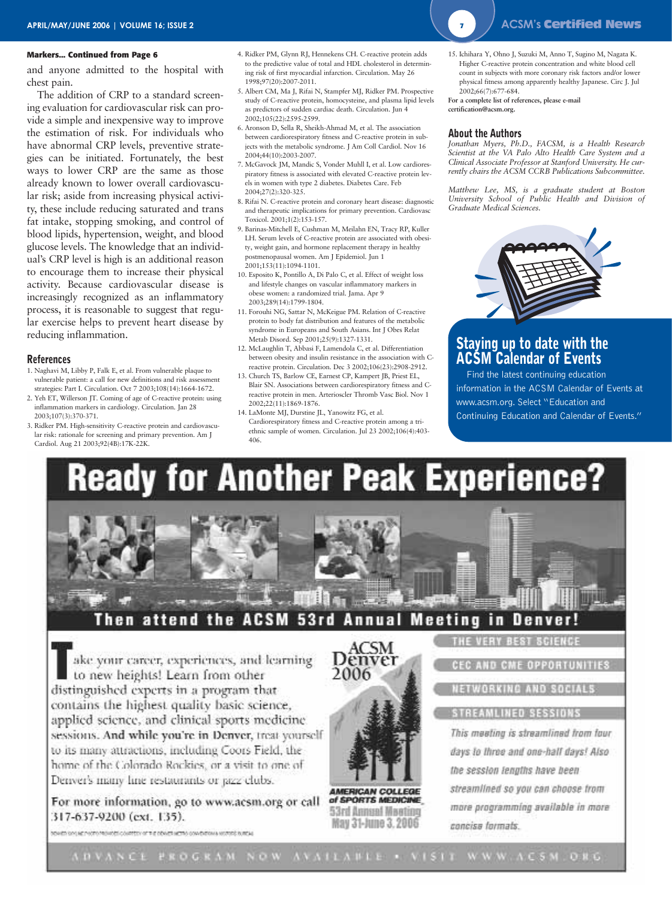### **Markers... Continued from Page 6**

and anyone admitted to the hospital with chest pain.

The addition of CRP to a standard screening evaluation for cardiovascular risk can provide a simple and inexpensive way to improve the estimation of risk. For individuals who have abnormal CRP levels, preventive strategies can be initiated. Fortunately, the best ways to lower CRP are the same as those already known to lower overall cardiovascular risk; aside from increasing physical activity, these include reducing saturated and trans fat intake, stopping smoking, and control of blood lipids, hypertension, weight, and blood glucose levels. The knowledge that an individual's CRP level is high is an additional reason to encourage them to increase their physical activity. Because cardiovascular disease is increasingly recognized as an inflammatory process, it is reasonable to suggest that regular exercise helps to prevent heart disease by reducing inflammation.

### **References**

- 1. Naghavi M, Libby P, Falk E, et al. From vulnerable plaque to vulnerable patient: a call for new definitions and risk assessment strategies: Part I. Circulation. Oct 7 2003;108(14):1664-1672.
- 2. Yeh ET, Willerson JT. Coming of age of C-reactive protein: using inflammation markers in cardiology. Circulation. Jan 28 2003;107(3):370-371.
- 3. Ridker PM. High-sensitivity C-reactive protein and cardiovascular risk: rationale for screening and primary prevention. Am J Cardiol. Aug 21 2003;92(4B):17K-22K.
- 4. Ridker PM, Glynn RJ, Hennekens CH. C-reactive protein adds to the predictive value of total and HDL cholesterol in determining risk of first myocardial infarction. Circulation. May 26 1998;97(20):2007-2011.
- 5. Albert CM, Ma J, Rifai N, Stampfer MJ, Ridker PM. Prospective study of C-reactive protein, homocysteine, and plasma lipid levels as predictors of sudden cardiac death. Circulation. Jun 4 2002;105(22):2595-2599.
- 6. Aronson D, Sella R, Sheikh-Ahmad M, et al. The association between cardiorespiratory fitness and C-reactive protein in subjects with the metabolic syndrome. J Am Coll Cardiol. Nov 16 2004;44(10):2003-2007.
- 7. McGavock JM, Mandic S, Vonder Muhll I, et al. Low cardiorespiratory fitness is associated with elevated C-reactive protein levels in women with type 2 diabetes. Diabetes Care. Feb 2004;27(2):320-325.
- 8. Rifai N. C-reactive protein and coronary heart disease: diagnostic and therapeutic implications for primary prevention. Cardiovasc Toxicol. 2001;1(2):153-157.
- 9. Barinas-Mitchell E, Cushman M, Meilahn EN, Tracy RP, Kuller LH. Serum levels of C-reactive protein are associated with obesity, weight gain, and hormone replacement therapy in healthy postmenopausal women. Am J Epidemiol. Jun 1 2001;153(11):1094-1101.
- 10. Esposito K, Pontillo A, Di Palo C, et al. Effect of weight loss and lifestyle changes on vascular inflammatory markers in obese women: a randomized trial. Jama. Apr 9 2003;289(14):1799-1804.
- 11. Forouhi NG, Sattar N, McKeigue PM. Relation of C-reactive protein to body fat distribution and features of the metabolic syndrome in Europeans and South Asians. Int J Obes Relat Metab Disord. Sep 2001;25(9):1327-1331.
- 12. McLaughlin T, Abbasi F, Lamendola C, et al. Differentiation between obesity and insulin resistance in the association with Creactive protein. Circulation. Dec 3 2002;106(23):2908-2912.
- 13. Church TS, Barlow CE, Earnest CP, Kampert JB, Priest EL, Blair SN. Associations between cardiorespiratory fitness and Creactive protein in men. Arterioscler Thromb Vasc Biol. Nov 1 2002;22(11):1869-1876.
- 14. LaMonte MJ, Durstine JL, Yanowitz FG, et al. Cardiorespiratory fitness and C-reactive protein among a triethnic sample of women. Circulation. Jul 23 2002;106(4):403- 406.

15. Ichihara Y, Ohno J, Suzuki M, Anno T, Sugino M, Nagata K. Higher C-reactive protein concentration and white blood cell count in subjects with more coronary risk factors and/or lower physical fitness among apparently healthy Japanese. Circ J. Jul 2002;66(7):677-684.

**For a complete list of references, please e-mail certification@acsm.org.**

### **About the Authors**

*Jonathan Myers, Ph.D., FACSM, is a Health Research Scientist at the VA Palo Alto Health Care System and a Clinical Associate Professor at Stanford University. He currently chairs the ACSM CCRB Publications Subcommittee.*

*Matthew Lee, MS, is a graduate student at Boston University School of Public Health and Division of Graduate Medical Sciences.*



### **Staying up to date with the ACSM Calendar of Events**

Find the latest continuing education information in the ACSM Calendar of Events at www.acsm.org. Select "Education and Continuing Education and Calendar of Events."

## **Ready for Another Peak Experience?**



ake your career, experiences, and learning to new heights! Learn from other distinguished experts in a program that contains the highest quality basic science, applied science, and clinical sports medicine sessions. And while you're in Denver, treat yourself to its many attractions, including Coors Field, the home of the Colorado Rockies, or a visit to one of Denver's many line restaurants or pizz clubs.

For more information, go to www.acsm.org or call 317-637-9200 (ext. 135).

ACSM Denver 2006

**AMERICAN COLLEGE** of SPORTS MEDICINE 53rd Annual Meeting May 31-June 3, 2006

ETWORKING AND SOCIAL!

### **STREAMLINED SESSIONS**

This meeting is streamlined from four days to three and one-half days! Also the session tenuths have been streamlined so you can choose trom more programming available in more concise formats.

RENDE SIN LICENSED AND ARRESTS OF THE DEVICE HERE CONDITIONS MORTER BURGLE

ADVANCE PROGRAM NOW AVAILABLE . VISIT WWW.ACSM.ORG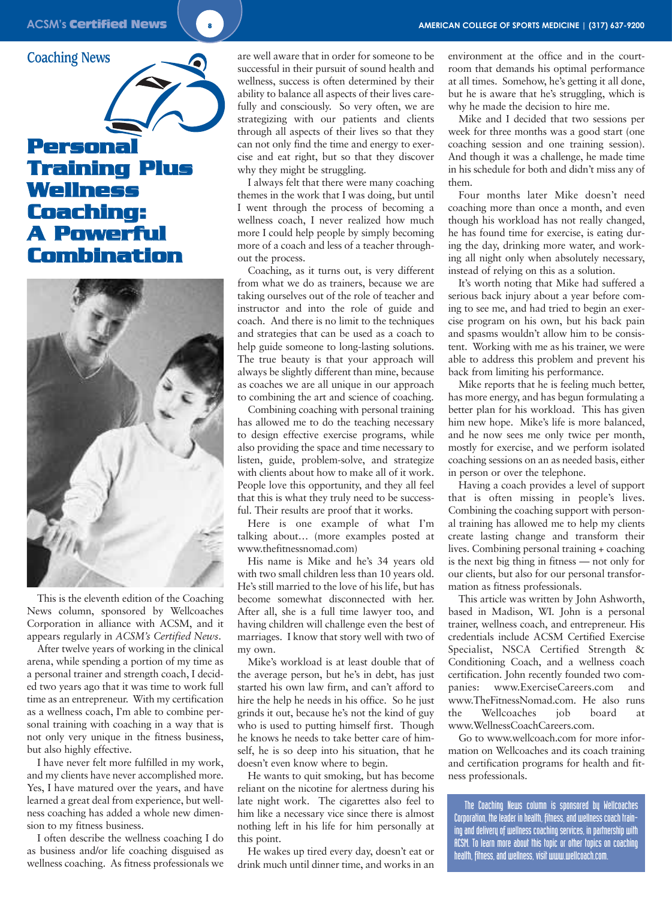**Coaching News**

### **Personal Training Plus Wellness Coaching: A Powerful Combination**



This is the eleventh edition of the Coaching News column, sponsored by Wellcoaches Corporation in alliance with ACSM, and it appears regularly in *ACSM's Certified News*.

After twelve years of working in the clinical arena, while spending a portion of my time as a personal trainer and strength coach, I decided two years ago that it was time to work full time as an entrepreneur. With my certification as a wellness coach, I'm able to combine personal training with coaching in a way that is not only very unique in the fitness business, but also highly effective.

I have never felt more fulfilled in my work, and my clients have never accomplished more. Yes, I have matured over the years, and have learned a great deal from experience, but wellness coaching has added a whole new dimension to my fitness business.

I often describe the wellness coaching I do as business and/or life coaching disguised as wellness coaching. As fitness professionals we are well aware that in order for someone to be successful in their pursuit of sound health and wellness, success is often determined by their ability to balance all aspects of their lives carefully and consciously. So very often, we are strategizing with our patients and clients through all aspects of their lives so that they can not only find the time and energy to exercise and eat right, but so that they discover why they might be struggling.

I always felt that there were many coaching themes in the work that I was doing, but until I went through the process of becoming a wellness coach, I never realized how much more I could help people by simply becoming more of a coach and less of a teacher throughout the process.

Coaching, as it turns out, is very different from what we do as trainers, because we are taking ourselves out of the role of teacher and instructor and into the role of guide and coach. And there is no limit to the techniques and strategies that can be used as a coach to help guide someone to long-lasting solutions. The true beauty is that your approach will always be slightly different than mine, because as coaches we are all unique in our approach to combining the art and science of coaching.

Combining coaching with personal training has allowed me to do the teaching necessary to design effective exercise programs, while also providing the space and time necessary to listen, guide, problem-solve, and strategize with clients about how to make all of it work. People love this opportunity, and they all feel that this is what they truly need to be successful. Their results are proof that it works.

Here is one example of what I'm talking about… (more examples posted at www.thefitnessnomad.com)

His name is Mike and he's 34 years old with two small children less than 10 years old. He's still married to the love of his life, but has become somewhat disconnected with her. After all, she is a full time lawyer too, and having children will challenge even the best of marriages. I know that story well with two of my own.

Mike's workload is at least double that of the average person, but he's in debt, has just started his own law firm, and can't afford to hire the help he needs in his office. So he just grinds it out, because he's not the kind of guy who is used to putting himself first. Though he knows he needs to take better care of himself, he is so deep into his situation, that he doesn't even know where to begin.

He wants to quit smoking, but has become reliant on the nicotine for alertness during his late night work. The cigarettes also feel to him like a necessary vice since there is almost nothing left in his life for him personally at this point.

He wakes up tired every day, doesn't eat or drink much until dinner time, and works in an

environment at the office and in the courtroom that demands his optimal performance at all times. Somehow, he's getting it all done, but he is aware that he's struggling, which is why he made the decision to hire me.

Mike and I decided that two sessions per week for three months was a good start (one coaching session and one training session). And though it was a challenge, he made time in his schedule for both and didn't miss any of them.

Four months later Mike doesn't need coaching more than once a month, and even though his workload has not really changed, he has found time for exercise, is eating during the day, drinking more water, and working all night only when absolutely necessary, instead of relying on this as a solution.

It's worth noting that Mike had suffered a serious back injury about a year before coming to see me, and had tried to begin an exercise program on his own, but his back pain and spasms wouldn't allow him to be consistent. Working with me as his trainer, we were able to address this problem and prevent his back from limiting his performance.

Mike reports that he is feeling much better, has more energy, and has begun formulating a better plan for his workload. This has given him new hope. Mike's life is more balanced, and he now sees me only twice per month, mostly for exercise, and we perform isolated coaching sessions on an as needed basis, either in person or over the telephone.

Having a coach provides a level of support that is often missing in people's lives. Combining the coaching support with personal training has allowed me to help my clients create lasting change and transform their lives. Combining personal training + coaching is the next big thing in fitness — not only for our clients, but also for our personal transformation as fitness professionals.

This article was written by John Ashworth, based in Madison, WI. John is a personal trainer, wellness coach, and entrepreneur. His credentials include ACSM Certified Exercise Specialist, NSCA Certified Strength & Conditioning Coach, and a wellness coach certification. John recently founded two companies: www.ExerciseCareers.com and www.TheFitnessNomad.com. He also runs the Wellcoaches job board at www.WellnessCoachCareers.com.

Go to www.wellcoach.com for more information on Wellcoaches and its coach training and certification programs for health and fitness professionals.

The Coaching News column is sponsored by Wellcoaches Corporation, the leader in health, fitness, and wellness coach training and delivery of wellness coaching services, in partnership with ACSM. To learn more about this topic or other topics on coaching health, fitness, and wellness, visit www.wellcoach.com.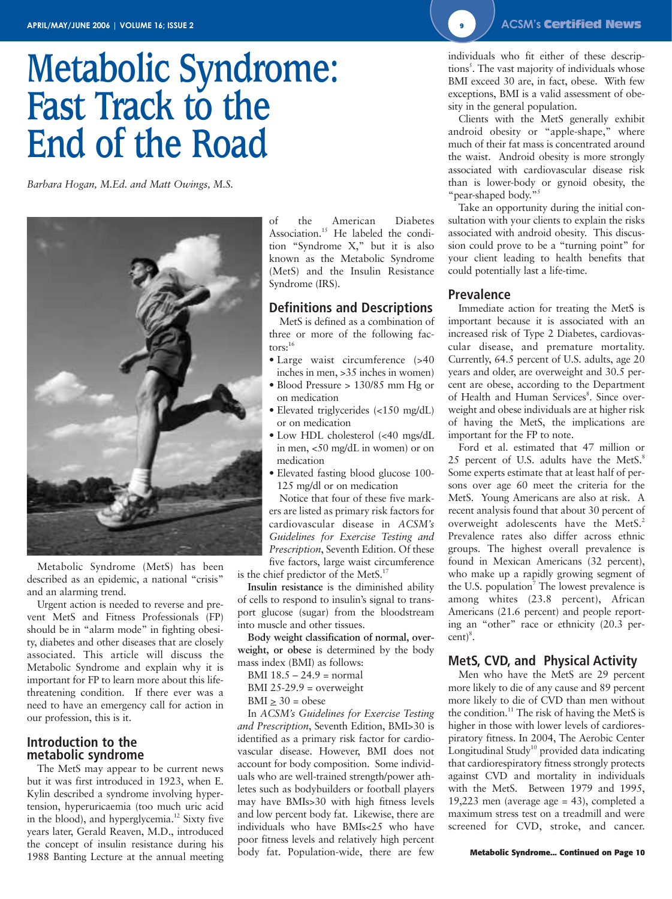# **Metabolic Syndrome: Fast Track to the End of the Road**

*Barbara Hogan, M.Ed. and Matt Owings, M.S.*



Metabolic Syndrome (MetS) has been described as an epidemic, a national "crisis" and an alarming trend.

Urgent action is needed to reverse and prevent MetS and Fitness Professionals (FP) should be in "alarm mode" in fighting obesity, diabetes and other diseases that are closely associated. This article will discuss the Metabolic Syndrome and explain why it is important for FP to learn more about this lifethreatening condition. If there ever was a need to have an emergency call for action in our profession, this is it.

### **Introduction to the metabolic syndrome**

The MetS may appear to be current news but it was first introduced in 1923, when E. Kylin described a syndrome involving hypertension, hyperuricaemia (too much uric acid in the blood), and hyperglycemia.<sup>12</sup> Sixty five years later, Gerald Reaven, M.D., introduced the concept of insulin resistance during his 1988 Banting Lecture at the annual meeting of the American Diabetes Association.<sup>15</sup> He labeled the condition "Syndrome X," but it is also known as the Metabolic Syndrome (MetS) and the Insulin Resistance Syndrome (IRS).

### **Definitions and Descriptions**

MetS is defined as a combination of three or more of the following factors:<sup>16</sup>

- Large waist circumference (>40 inches in men, >35 inches in women)
- Blood Pressure > 130/85 mm Hg or on medication
- Elevated triglycerides (<150 mg/dL) or on medication
- Low HDL cholesterol (<40 mgs/dL in men, <50 mg/dL in women) or on medication
- Elevated fasting blood glucose 100- 125 mg/dl or on medication

Notice that four of these five markers are listed as primary risk factors for cardiovascular disease in *ACSM's Guidelines for Exercise Testing and Prescription*, Seventh Edition. Of these five factors, large waist circumference

is the chief predictor of the MetS.<sup>17</sup>

**Insulin resistance** is the diminished ability of cells to respond to insulin's signal to transport glucose (sugar) from the bloodstream into muscle and other tissues.

**Body weight classification of normal, overweight, or obese** is determined by the body mass index (BMI) as follows:

- BMI  $18.5 24.9$  = normal
- BMI 25-29.9 = overweight
- $BMI \geq 30 = obese$

In *ACSM's Guidelines for Exercise Testing and Prescription*, Seventh Edition, BMI>30 is identified as a primary risk factor for cardiovascular disease. However, BMI does not account for body composition. Some individuals who are well-trained strength/power athletes such as bodybuilders or football players may have BMIs>30 with high fitness levels and low percent body fat. Likewise, there are individuals who have BMIs<25 who have poor fitness levels and relatively high percent body fat. Population-wide, there are few

individuals who fit either of these descriptions<sup>5</sup>. The vast majority of individuals whose BMI exceed 30 are, in fact, obese. With few exceptions, BMI is a valid assessment of obesity in the general population.

Clients with the MetS generally exhibit android obesity or "apple-shape," where much of their fat mass is concentrated around the waist. Android obesity is more strongly associated with cardiovascular disease risk than is lower-body or gynoid obesity, the "pear-shaped body."5

Take an opportunity during the initial consultation with your clients to explain the risks associated with android obesity. This discussion could prove to be a "turning point" for your client leading to health benefits that could potentially last a life-time.

### **Prevalence**

Immediate action for treating the MetS is important because it is associated with an increased risk of Type 2 Diabetes, cardiovascular disease, and premature mortality. Currently, 64.5 percent of U.S. adults, age 20 years and older, are overweight and 30.5 percent are obese, according to the Department of Health and Human Services<sup>8</sup>. Since overweight and obese individuals are at higher risk of having the MetS, the implications are important for the FP to note.

Ford et al. estimated that 47 million or 25 percent of U.S. adults have the MetS.<sup>8</sup> Some experts estimate that at least half of persons over age 60 meet the criteria for the MetS. Young Americans are also at risk. A recent analysis found that about 30 percent of overweight adolescents have the MetS.<sup>2</sup> Prevalence rates also differ across ethnic groups. The highest overall prevalence is found in Mexican Americans (32 percent), who make up a rapidly growing segment of the U.S. population<sup>7</sup> The lowest prevalence is among whites (23.8 percent), African Americans (21.6 percent) and people reporting an "other" race or ethnicity (20.3 per $cent)^8$ .

### **MetS, CVD, and Physical Activity**

Men who have the MetS are 29 percent more likely to die of any cause and 89 percent more likely to die of CVD than men without the condition.<sup>11</sup> The risk of having the MetS is higher in those with lower levels of cardiorespiratory fitness. In 2004, The Aerobic Center Longitudinal Study<sup>10</sup> provided data indicating that cardiorespiratory fitness strongly protects against CVD and mortality in individuals with the MetS. Between 1979 and 1995, 19,223 men (average age = 43), completed a maximum stress test on a treadmill and were screened for CVD, stroke, and cancer.

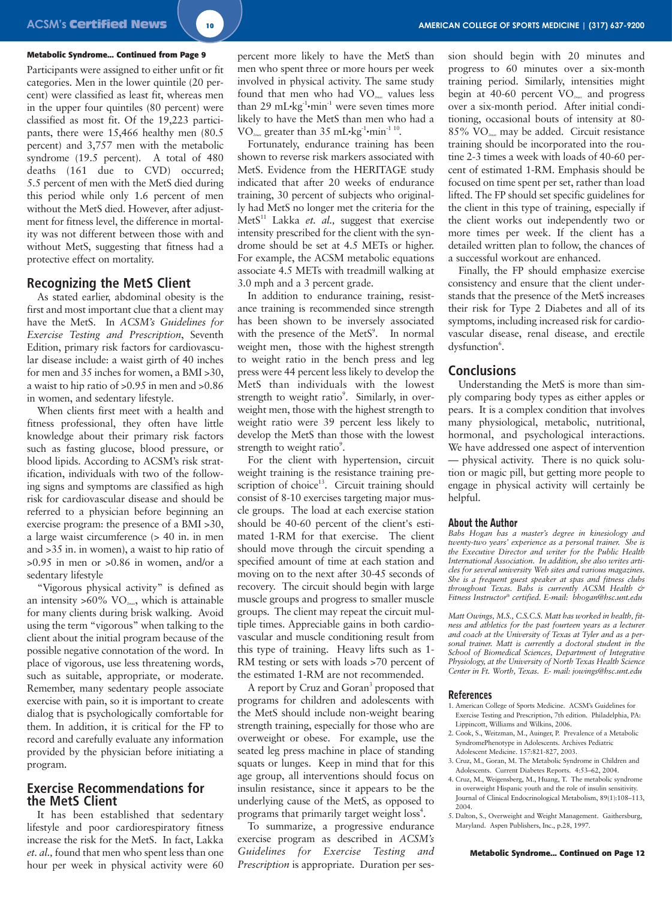### **Metabolic Syndrome... Continued from Page 9**

Participants were assigned to either unfit or fit categories. Men in the lower quintile (20 percent) were classified as least fit, whereas men in the upper four quintiles (80 percent) were classified as most fit. Of the 19,223 participants, there were 15,466 healthy men (80.5 percent) and 3,757 men with the metabolic syndrome (19.5 percent). A total of 480 deaths (161 due to CVD) occurred; 5.5 percent of men with the MetS died during this period while only 1.6 percent of men without the MetS died. However, after adjustment for fitness level, the difference in mortality was not different between those with and without MetS, suggesting that fitness had a protective effect on mortality.

### **Recognizing the MetS Client**

As stated earlier, abdominal obesity is the first and most important clue that a client may have the MetS. In *ACSM's Guidelines for Exercise Testing and Prescription*, Seventh Edition, primary risk factors for cardiovascular disease include: a waist girth of 40 inches for men and 35 inches for women, a BMI >30, a waist to hip ratio of >0.95 in men and >0.86 in women, and sedentary lifestyle.

When clients first meet with a health and fitness professional, they often have little knowledge about their primary risk factors such as fasting glucose, blood pressure, or blood lipids. According to ACSM's risk stratification, individuals with two of the following signs and symptoms are classified as high risk for cardiovascular disease and should be referred to a physician before beginning an exercise program: the presence of a BMI >30, a large waist circumference (> 40 in. in men and >35 in. in women), a waist to hip ratio of >0.95 in men or >0.86 in women, and/or a sedentary lifestyle

"Vigorous physical activity" is defined as an intensity >60% VO*2max*, which is attainable for many clients during brisk walking. Avoid using the term "vigorous" when talking to the client about the initial program because of the possible negative connotation of the word. In place of vigorous, use less threatening words, such as suitable, appropriate, or moderate. Remember, many sedentary people associate exercise with pain, so it is important to create dialog that is psychologically comfortable for them. In addition, it is critical for the FP to record and carefully evaluate any information provided by the physician before initiating a program.

### **Exercise Recommendations for the MetS Client**

It has been established that sedentary lifestyle and poor cardiorespiratory fitness increase the risk for the MetS. In fact, Lakka *et. al.,* found that men who spent less than one hour per week in physical activity were 60 percent more likely to have the MetS than men who spent three or more hours per week involved in physical activity. The same study found that men who had VO*2max* values less than 29 mL $\cdot$ kg<sup>-1</sup> $\cdot$ min<sup>-1</sup> were seven times more likely to have the MetS than men who had a VO<sub>2max</sub> greater than 35 mL•kg<sup>-1</sup>•min<sup>-1 10</sup>.

Fortunately, endurance training has been shown to reverse risk markers associated with MetS. Evidence from the HERITAGE study indicated that after 20 weeks of endurance training, 30 percent of subjects who originally had MetS no longer met the criteria for the MetS<sup>11</sup> Lakka *et. al.*, suggest that exercise intensity prescribed for the client with the syndrome should be set at 4.5 METs or higher. For example, the ACSM metabolic equations associate 4.5 METs with treadmill walking at 3.0 mph and a 3 percent grade.

In addition to endurance training, resistance training is recommended since strength has been shown to be inversely associated with the presence of the MetS<sup>9</sup>. In normal weight men, those with the highest strength to weight ratio in the bench press and leg press were 44 percent less likely to develop the MetS than individuals with the lowest strength to weight ratio<sup>9</sup>. Similarly, in overweight men, those with the highest strength to weight ratio were 39 percent less likely to develop the MetS than those with the lowest strength to weight ratio<sup>9</sup>.

For the client with hypertension, circuit weight training is the resistance training prescription of choice<sup>13</sup>. Circuit training should consist of 8-10 exercises targeting major muscle groups. The load at each exercise station should be 40-60 percent of the client's estimated 1-RM for that exercise. The client should move through the circuit spending a specified amount of time at each station and moving on to the next after 30-45 seconds of recovery. The circuit should begin with large muscle groups and progress to smaller muscle groups. The client may repeat the circuit multiple times. Appreciable gains in both cardiovascular and muscle conditioning result from this type of training. Heavy lifts such as 1- RM testing or sets with loads >70 percent of the estimated 1-RM are not recommended.

A report by Cruz and Goran<sup>3</sup> proposed that programs for children and adolescents with the MetS should include non-weight bearing strength training, especially for those who are overweight or obese. For example, use the seated leg press machine in place of standing squats or lunges. Keep in mind that for this age group, all interventions should focus on insulin resistance, since it appears to be the underlying cause of the MetS, as opposed to programs that primarily target weight loss<sup>4</sup>.

To summarize, a progressive endurance exercise program as described in *ACSM's Guidelines for Exercise Testing and Prescription* is appropriate. Duration per session should begin with 20 minutes and progress to 60 minutes over a six-month training period. Similarly, intensities might begin at 40-60 percent VO*2max* and progress over a six-month period. After initial conditioning, occasional bouts of intensity at 80- 85% VO*2max* may be added. Circuit resistance training should be incorporated into the routine 2-3 times a week with loads of 40-60 percent of estimated 1-RM. Emphasis should be focused on time spent per set, rather than load lifted. The FP should set specific guidelines for the client in this type of training, especially if the client works out independently two or more times per week. If the client has a detailed written plan to follow, the chances of a successful workout are enhanced.

Finally, the FP should emphasize exercise consistency and ensure that the client understands that the presence of the MetS increases their risk for Type 2 Diabetes and all of its symptoms, including increased risk for cardiovascular disease, renal disease, and erectile dysfunction<sup>6</sup>.

### **Conclusions**

Understanding the MetS is more than simply comparing body types as either apples or pears. It is a complex condition that involves many physiological, metabolic, nutritional, hormonal, and psychological interactions. We have addressed one aspect of intervention — physical activity. There is no quick solution or magic pill, but getting more people to engage in physical activity will certainly be helpful.

### **About the Author**

*Babs Hogan has a master's degree in kinesiology and twenty-two years' experience as a personal trainer. She is the Executive Director and writer for the Public Health International Association. In addition, she also writes articles for several university Web sites and various magazines. She is a frequent guest speaker at spas and fitness clubs throughout Texas. Babs is currently ACSM Health & Fitness Instructor® certified. E-mail: bhogan@hsc.unt.edu*

*Matt Owings, M.S., C.S.C.S. Matt has worked in health, fitness and athletics for the past fourteen years as a lecturer and coach at the University of Texas at Tyler and as a personal trainer. Matt is currently a doctoral student in the School of Biomedical Sciences, Department of Integrative Physiology, at the University of North Texas Health Science Center in Ft. Worth, Texas. E- mail: jowings@hsc.unt.edu*

### **References**

- 1. American College of Sports Medicine. ACSM's Guidelines for Exercise Testing and Prescription, 7th edition. Philadelphia, PA: Lippincott, Williams and Wilkins, 2006.
- 2. Cook, S., Weitzman, M., Auinger, P. Prevalence of a Metabolic SyndromePhenotype in Adolescents. Archives Pediatric Adolescent Medicine. 157:821-827, 2003.
- 3. Cruz, M., Goran, M. The Metabolic Syndrome in Children and Adolescents. Current Diabetes Reports. 4:53–62, 2004.
- 4. Cruz, M., Weigensberg, M., Huang, T. The metabolic syndrome in overweight Hispanic youth and the role of insulin sensitivity. Journal of Clinical Endocrinological Metabolism, 89(1):108–113, 2004.
- 5. Dalton, S., Overweight and Weight Management. Gaithersburg, Maryland. Aspen Publishers, Inc., p.28, 1997.

**Metabolic Syndrome... Continued on Page 12**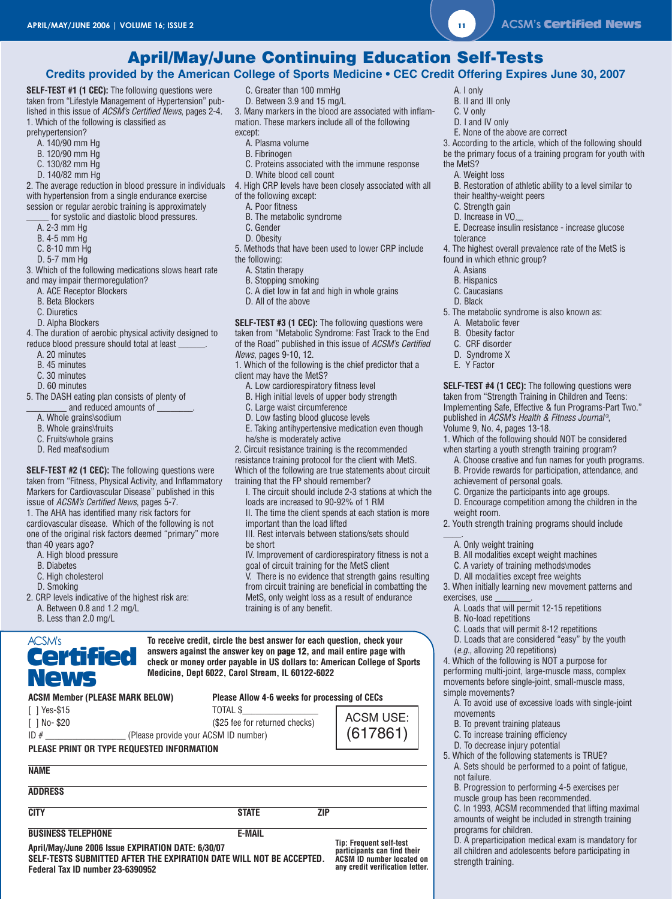### **April/May/June Continuing Education Self-Tests**

### **Credits provided by the American College of Sports Medicine • CEC Credit Offering Expires June 30, 2007**

**SELF-TEST #1 (1 CEC):** The following questions were taken from "Lifestyle Management of Hypertension" published in this issue of ACSM's Certified News, pages 2-4. 1. Which of the following is classified as

prehypertension?

- A. 140/90 mm Hg B. 120/90 mm Hg
- 
- C. 130/82 mm Hg
- D. 140/82 mm Hg

with hypertension from a single endurance exercise session or regular aerobic training is approximately

for systolic and diastolic blood pressures.

- A. 2-3 mm Hg
- B. 4-5 mm Hg
- C. 8-10 mm Hg
- D. 5-7 mm Hg
- 3. Which of the following medications slows heart rate and may impair thermoregulation?
	- A. ACE Receptor Blockers
	- B. Beta Blockers
	- C. Diuretics
	- D. Alpha Blockers

4. The duration of aerobic physical activity designed to reduce blood pressure should total at least \_\_\_\_\_\_.

- A. 20 minutes
- B. 45 minutes
- C. 30 minutes
- 
- D. 60 minutes
- 5. The DASH eating plan consists of plenty of
	- and reduced amounts of
	- A. Whole grains\sodium
	- B. Whole grains\fruits
	- C. Fruits\whole grains
	- D. Red meat\sodium

**SELF-TEST #2 (1 CEC):** The following questions were taken from "Fitness, Physical Activity, and Inflammatory Markers for Cardiovascular Disease" published in this issue of ACSM's Certified News, pages 5-7.

1. The AHA has identified many risk factors for cardiovascular disease. Which of the following is not one of the original risk factors deemed "primary" more than 40 years ago?

- A. High blood pressure
- B. Diabetes
- C. High cholesterol
- D. Smoking
- 2. CRP levels indicative of the highest risk are: A. Between 0.8 and 1.2 mg/L
	- B. Less than 2.0 mg/L

### ACSM's Certified News

| C. Greater than 100 mmHg    |
|-----------------------------|
| D. Between 3.9 and 15 mg/L  |
| Manumarkaya in the blood of |

3. Many markers in the blood are associated with inflammation. These markers include all of the following except:

- A. Plasma volume
- B. Fibrinogen
- C. Proteins associated with the immune response
- D. White blood cell count
- 2. The average reduction in blood pressure in individuals 4. High CRP levels have been closely associated with all
	- of the following except:
		- A. Poor fitness
	- B. The metabolic syndrome
	- C. Gender
	- D. Obesity
	- 5. Methods that have been used to lower CRP include
	- the following:
		- A. Statin therapy
	- B. Stopping smoking
	- C. A diet low in fat and high in whole grains
	- D. All of the above

**SELF-TEST #3 (1 CEC):** The following questions were taken from "Metabolic Syndrome: Fast Track to the End of the Road" published in this issue of ACSM's Certified

News, pages 9-10, 12.

1. Which of the following is the chief predictor that a client may have the MetS?

- A. Low cardiorespiratory fitness level
- B. High initial levels of upper body strength
- C. Large waist circumference
- D. Low fasting blood glucose levels
- E. Taking antihypertensive medication even though he/she is moderately active

2. Circuit resistance training is the recommended

resistance training protocol for the client with MetS. Which of the following are true statements about circuit training that the FP should remember?

- I. The circuit should include 2-3 stations at which the loads are increased to 90-92% of 1 RM
- II. The time the client spends at each station is more important than the load lifted
- III. Rest intervals between stations/sets should be short
- IV. Improvement of cardiorespiratory fitness is not a goal of circuit training for the MetS client

V. There is no evidence that strength gains resulting from circuit training are beneficial in combatting the MetS, only weight loss as a result of endurance training is of any benefit.

**To receive credit, circle the best answer for each question, check your answers against the answer key on page 12, and mail entire page with check or money order payable in US dollars to: American College of Sports Medicine, Dept 6022, Carol Stream, IL 60122-6022**

| <b>ACSM Member (PLEASE MARK BELOW)</b> | Please Allow 4-6 weeks for processing of CECs |
|----------------------------------------|-----------------------------------------------|
|----------------------------------------|-----------------------------------------------|

| $\lceil$   Yes-\$15 | TOTAL \$                             |
|---------------------|--------------------------------------|
| $\lceil$ 1 No-\$20  | (\$25 fee for returned checks)       |
| ID#                 | (Please provide your ACSM ID number) |

### **PLEASE PRINT OR TYPE REQUESTED INFORMATION**

### **NAME**

**ADDRESS**

**CITY STATE ZIP**

**BUSINESS TELEPHONE** E-MAIL

**April/May/June 2006 Issue EXPIRATION DATE: 6/30/07 SELF-TESTS SUBMITTED AFTER THE EXPIRATION DATE WILL NOT BE ACCEPTED. Federal Tax ID number 23-6390952**

**Tip: Frequent self-test participants can find their ACSM ID number located on any credit verification letter.**

ACSM USE: (617861)

- A. I only
- B. II and III only C. V only
- 
- D. I and IV only
- E. None of the above are correct
- 3. According to the article, which of the following should be the primary focus of a training program for youth with
- the MetS?
	- A. Weight loss
- B. Restoration of athletic ability to a level similar to
- their healthy-weight peers
- C. Strength gain D. Increase in VO<sub>2</sub>
- E. Decrease insulin resistance increase glucose
- tolerance
- 4. The highest overall prevalence rate of the MetS is found in which ethnic group?

5. The metabolic syndrome is also known as:

**SELF-TEST #4 (1 CEC):** The following questions were taken from "Strength Training in Children and Teens: Implementing Safe, Effective & fun Programs-Part Two." published in *ACSM's Health & Fitness Journal*®,

1. Which of the following should NOT be considered when starting a youth strength training program? A. Choose creative and fun names for youth programs. B. Provide rewards for participation, attendance, and

C. Organize the participants into age groups. D. Encourage competition among the children in the

2. Youth strength training programs should include

3. When initially learning new movement patterns and

B. All modalities except weight machines C. A variety of training methods\modes D. All modalities except free weights

A. Loads that will permit 12-15 repetitions

C. Loads that will permit 8-12 repetitions D. Loads that are considered "easy" by the youth

4. Which of the following is NOT a purpose for performing multi-joint, large-muscle mass, complex movements before single-joint, small-muscle mass,

A. To avoid use of excessive loads with single-joint

B. Progression to performing 4-5 exercises per muscle group has been recommended.

C. In 1993, ACSM recommended that lifting maximal amounts of weight be included in strength training

D. A preparticipation medical exam is mandatory for all children and adolescents before participating in

A. Asians B. Hispanics

C. Caucasians D. Black

A. Metabolic fever B. Obesity factor C. CRF disorder D. Syndrome X E. Y Factor

Volume 9, No. 4, pages 13-18.

weight room.

exercises, use

A. Only weight training

B. No-load repetitions

simple movements?

movements

not failure.

programs for children.

strength training.

(e.g., allowing 20 repetitions)

B. To prevent training plateaus C. To increase training efficiency D. To decrease injury potential 5. Which of the following statements is TRUE? A. Sets should be performed to a point of fatigue,

 $\overline{\phantom{a}}$ 

achievement of personal goals.